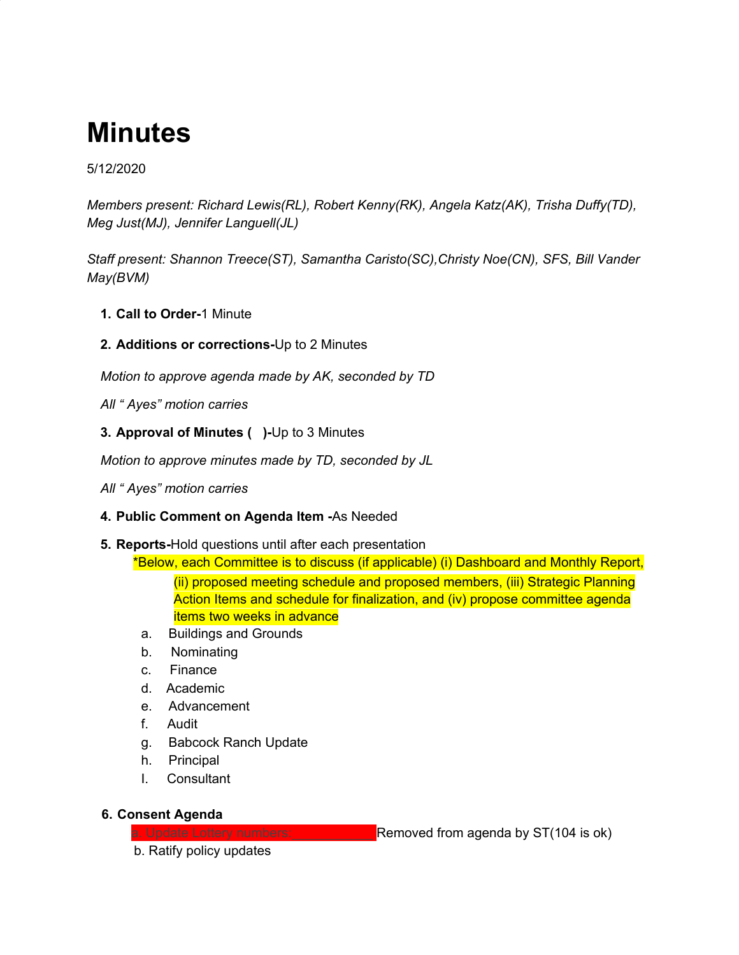# **Minutes**

# 5/12/2020

*Members present: Richard Lewis(RL), Robert Kenny(RK), Angela Katz(AK), Trisha Duffy(TD), Meg Just(MJ), Jennifer Languell(JL)*

*Staff present: Shannon Treece(ST), Samantha Caristo(SC),Christy Noe(CN), SFS, Bill Vander May(BVM)*

- **1. Call to Order-**1 Minute
- **2. Additions or corrections-**Up to 2 Minutes

*Motion to approve agenda made by AK, seconded by TD*

*All " Ayes" motion carries*

**3. Approval of Minutes ( )-**Up to 3 Minutes

*Motion to approve minutes made by TD, seconded by JL*

*All " Ayes" motion carries*

#### **4. Public Comment on Agenda Item -**As Needed

**5. Reports-**Hold questions until after each presentation

\*Below, each Committee is to discuss (if applicable) (i) Dashboard and Monthly Report, (ii) proposed meeting schedule and proposed members, (iii) Strategic Planning Action Items and schedule for finalization, and (iv) propose committee agenda items two weeks in advance

- a. Buildings and Grounds
- b. Nominating
- c. Finance
- d. Academic
- e. Advancement
- f. Audit
- g. Babcock Ranch Update
- h. Principal
- I. Consultant

#### **6. Consent Agenda**

a. Update Lottery numbers: **Example 1** Removed from agenda by ST(104 is ok)

b. Ratify policy updates